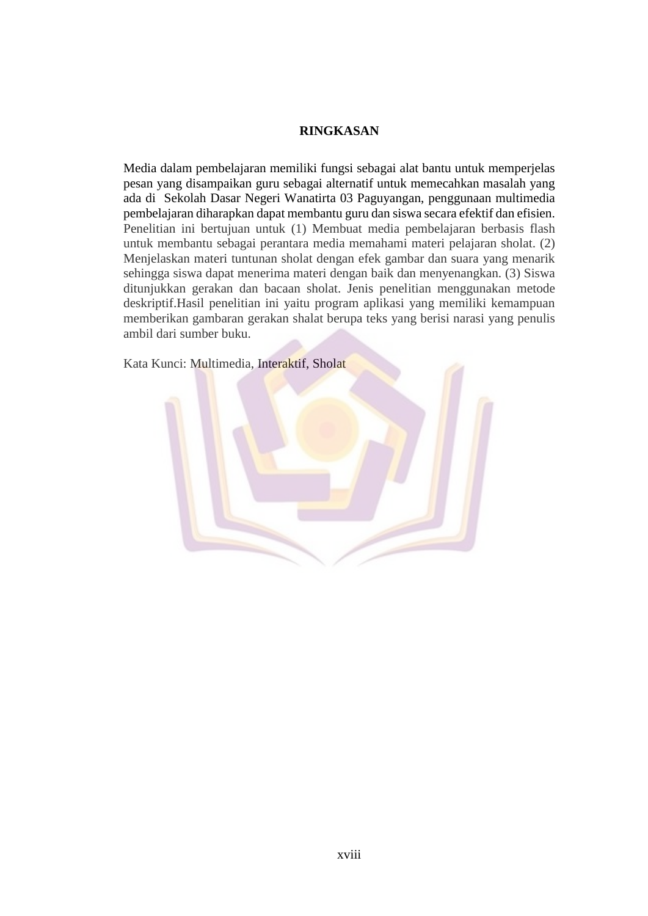## **RINGKASAN**

Media dalam pembelajaran memiliki fungsi sebagai alat bantu untuk memperjelas pesan yang disampaikan guru sebagai alternatif untuk memecahkan masalah yang ada di Sekolah Dasar Negeri Wanatirta 03 Paguyangan, penggunaan multimedia pembelajaran diharapkan dapat membantu guru dan siswa secara efektif dan efisien. Penelitian ini bertujuan untuk (1) Membuat media pembelajaran berbasis flash untuk membantu sebagai perantara media memahami materi pelajaran sholat. (2) Menjelaskan materi tuntunan sholat dengan efek gambar dan suara yang menarik sehingga siswa dapat menerima materi dengan baik dan menyenangkan. (3) Siswa ditunjukkan gerakan dan bacaan sholat. Jenis penelitian menggunakan metode deskriptif.Hasil penelitian ini yaitu program aplikasi yang memiliki kemampuan memberikan gambaran gerakan shalat berupa teks yang berisi narasi yang penulis ambil dari sumber buku.

Kata Kunci: Multimedia, Interaktif, Sholat